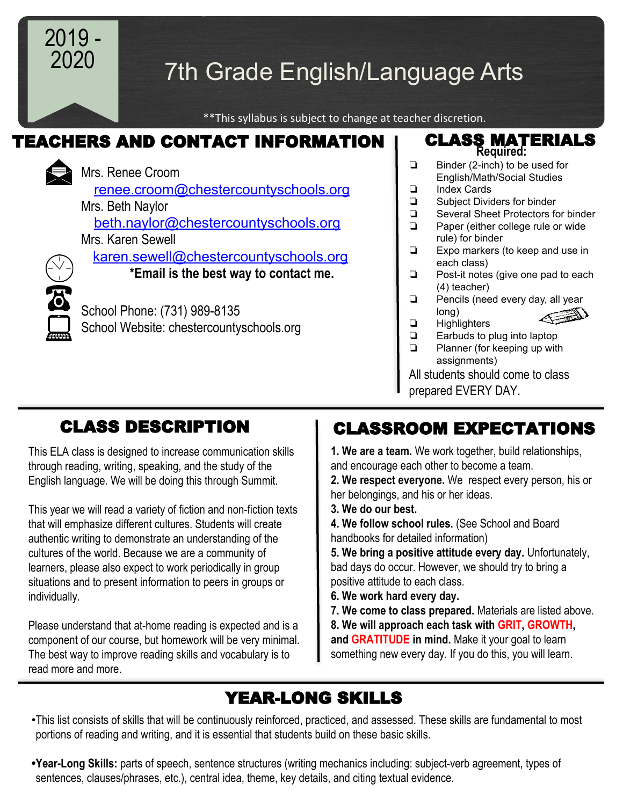

# 7th Grade English/Language Arts

\*\*This syllabus is subject to change at teacher discretion.

## TEACHERS AND CONTACT INFORMATION | CLASS MATERIALS



 [renee.croom@chestercountyschools.org](mailto:renee.croom@chestercountyschools.org) Mrs. Beth Naylor [beth.naylor@chestercountyschools.org](mailto:beth.naylor@chestercountyschools.org) Mrs. Karen Sewell [karen.sewell@chestercountyschools.org](mailto:karen.sewell@chestercountyschools.org)  **\*Email is the best way to contact me.** School Phone: (731) 989-8135 School Website: chestercountyschools.org

# CLASS DESCRIPTION

This ELA class is designed to increase communication skills through reading, writing, speaking, and the study of the English language. We will be doing this through Summit.

This year we will read a variety of fiction and non-fiction texts that will emphasize different cultures. Students will create authentic writing to demonstrate an understanding of the cultures of the world. Because we are a community of learners, please also expect to work periodically in group situations and to present information to peers in groups or individually.

Please understand that at-home reading is expected and is a component of our course, but homework will be very minimal. The best way to improve reading skills and vocabulary is to read more and more.

# **Required:**

- ❏ Binder (2-inch) to be used for English/Math/Social Studies
- ❏ Index Cards
- **□** Subject Dividers for binder<br>□ Several Sheet Protectors fo
- ❏ Several Sheet Protectors for binder
- ❏ Paper (either college rule or wide rule) for binder
- ❏ Expo markers (to keep and use in each class)
- ❏ Post-it notes (give one pad to each (4) teacher)
- ❏ Pencils (need every day, all year long)
- ❏ Highlighters
	- **□** Earbuds to plug into laptop<br>□ Planner (for keeping up with
	- Planner (for keeping up with assignments)

 All students should come to class prepared EVERY DAY.

# CLASSROOM EXPECTATIONS

**1. We are a team.** We work together, build relationships, and encourage each other to become a team.

**2. We respect everyone.** We respect every person, his or her belongings, and his or her ideas.

- **3. We do our best.**
- **4. We follow school rules.** (See School and Board handbooks for detailed information)

**5. We bring a positive attitude every day.** Unfortunately, bad days do occur. However, we should try to bring a positive attitude to each class.

- **6. We work hard every day.**
- **7. We come to class prepared.** Materials are listed above.

**8. We will approach each task with GRIT, GROWTH, and GRATITUDE in mind.** Make it your goal to learn something new every day. If you do this, you will learn.

# YEAR-LONG SKILLS

- •This list consists of skills that will be continuously reinforced, practiced, and assessed. These skills are fundamental to most portions of reading and writing, and it is essential that students build on these basic skills.
- **•Year-Long Skills:** parts of speech, sentence structures (writing mechanics including: subject-verb agreement, types of sentences, clauses/phrases, etc.), central idea, theme, key details, and citing textual evidence.